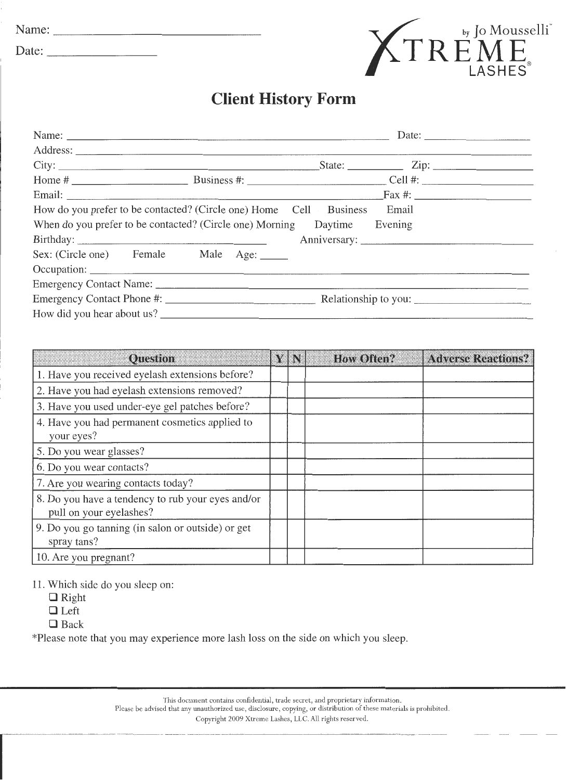| Name:               | by<br>TTT                          |
|---------------------|------------------------------------|
| $\sqrt{ }$<br>Date: | $\sqrt{2}$<br>Л<br>—<br>D <i>f</i> |



## **Client History Form**

|                                                                          |       | Date: $\frac{1}{\sqrt{1-\frac{1}{2}} \cdot \frac{1}{2}}$ |
|--------------------------------------------------------------------------|-------|----------------------------------------------------------|
|                                                                          |       |                                                          |
|                                                                          |       |                                                          |
|                                                                          |       |                                                          |
|                                                                          |       |                                                          |
| How do you prefer to be contacted? (Circle one) Home Cell Business       | Email |                                                          |
| When do you prefer to be contacted? (Circle one) Morning Daytime Evening |       |                                                          |
|                                                                          |       |                                                          |
| Sex: (Circle one) Female Male Age: ______                                |       |                                                          |
|                                                                          |       |                                                          |
|                                                                          |       |                                                          |
|                                                                          |       |                                                          |
| How did you hear about us?                                               |       |                                                          |
|                                                                          |       |                                                          |

| <b>Ouestion</b>                                                              |  | <b>How Often?</b> | <b>Adverse Reactions?</b> |
|------------------------------------------------------------------------------|--|-------------------|---------------------------|
| 1. Have you received eyelash extensions before?                              |  |                   |                           |
| 2. Have you had eyelash extensions removed?                                  |  |                   |                           |
| 3. Have you used under-eye gel patches before?                               |  |                   |                           |
| 4. Have you had permanent cosmetics applied to<br>your eyes?                 |  |                   |                           |
| 5. Do you wear glasses?                                                      |  |                   |                           |
| 6. Do you wear contacts?                                                     |  |                   |                           |
| 7. Are you wearing contacts today?                                           |  |                   |                           |
| 8. Do you have a tendency to rub your eyes and/or<br>pull on your eyelashes? |  |                   |                           |
| 9. Do you go tanning (in salon or outside) or get<br>spray tans?             |  |                   |                           |
| 10. Are you pregnant?                                                        |  |                   |                           |

11. Which side do you sleep on:

- **D** Right
- **D** Left
- **0** Back

\*Please note that you may experience more lash loss on the side on which you sleep.

This document contains confidential, trade secret, and proprietary information.

Please be advised that any unauthorized use, disclosure, copying, or distribution of these materials is prohibited.

Copyright 2009 Xtreme Lashes, LLC. All rights reserved .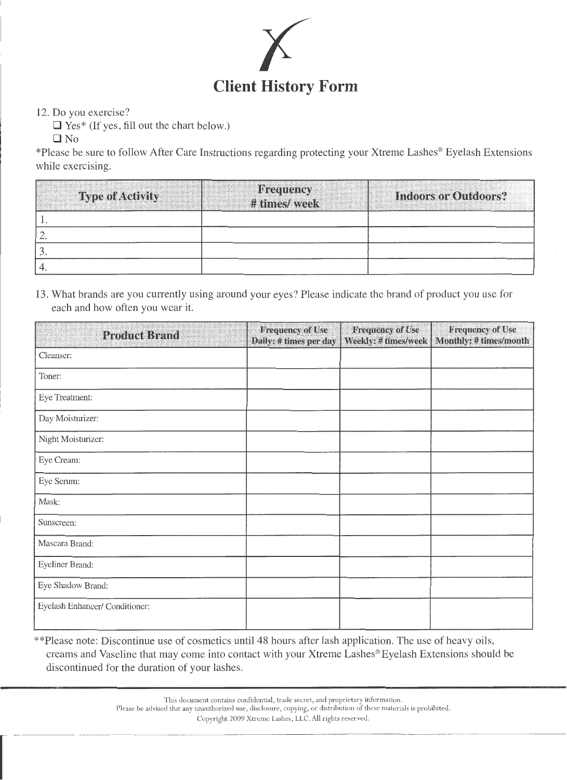

12. Do you exercise?

□ Yes<sup>\*</sup> (If yes, fill out the chart below.)

ONo

\*Please be sure to follow After Care Instructions regarding protecting your Xtreme Lashes® Eyelash Extensions while exercising.

| <b>Type of Activity</b> | <b>Frequency</b><br># times/ week | <b>Indoors or Outdoors?</b> |
|-------------------------|-----------------------------------|-----------------------------|
|                         |                                   |                             |
| <u>.</u>                |                                   |                             |
|                         |                                   |                             |
|                         |                                   |                             |

13. What brands are you currently using around your eyes? Please indicate the brand of product you use for each and how often you wear it.

| <b>Product Brand</b>           | <b>Frequency of Use</b><br>Daily: # times per day | <b>Frequency of Use</b><br>Weekly: # times/week | <b>Frequency of Use</b><br>Monthly: # times/month |
|--------------------------------|---------------------------------------------------|-------------------------------------------------|---------------------------------------------------|
| Cleanser:                      |                                                   |                                                 |                                                   |
| Toner:                         |                                                   |                                                 |                                                   |
| Eye Treatment:                 |                                                   |                                                 |                                                   |
| Day Moisturizer:               |                                                   |                                                 |                                                   |
| Night Moisturizer:             |                                                   |                                                 |                                                   |
| Eye Cream:                     |                                                   |                                                 |                                                   |
| Eye Serum:                     |                                                   |                                                 |                                                   |
| Mask:                          |                                                   |                                                 |                                                   |
| Sunscreen:                     |                                                   |                                                 |                                                   |
| Mascara Brand:                 |                                                   |                                                 |                                                   |
| Eyeliner Brand:                |                                                   |                                                 |                                                   |
| Eye Shadow Brand:              |                                                   |                                                 |                                                   |
| Eyelash Enhancer/ Conditioner: |                                                   |                                                 |                                                   |

\*\*Please note: Discontinue use of cosmetics until48 hours after lash application. The use of heavy oils, creams and Vaseline that may come into contact with your Xtreme Lashes® Eyelash Extensions should be discontinued for the duration of your lashes.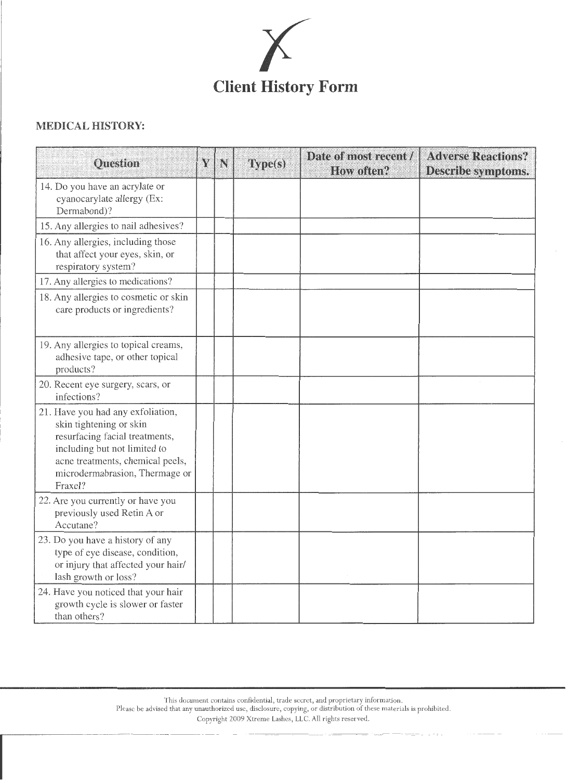

## **MEDICAL HISTORY:**

| <b>Question</b>                                                                                                                                                                                                 | Y | N | Type(s) | Date of most recent /<br>How often? | <b>Adverse Reactions?</b><br>Describe symptoms. |
|-----------------------------------------------------------------------------------------------------------------------------------------------------------------------------------------------------------------|---|---|---------|-------------------------------------|-------------------------------------------------|
| 14. Do you have an acrylate or<br>cyanocarylate allergy (Ex:<br>Dermabond)?                                                                                                                                     |   |   |         |                                     |                                                 |
| 15. Any allergies to nail adhesives?                                                                                                                                                                            |   |   |         |                                     |                                                 |
| 16. Any allergies, including those<br>that affect your eyes, skin, or<br>respiratory system?                                                                                                                    |   |   |         |                                     |                                                 |
| 17. Any allergies to medications?                                                                                                                                                                               |   |   |         |                                     |                                                 |
| 18. Any allergies to cosmetic or skin<br>care products or ingredients?                                                                                                                                          |   |   |         |                                     |                                                 |
| 19. Any allergies to topical creams,<br>adhesive tape, or other topical<br>products?                                                                                                                            |   |   |         |                                     |                                                 |
| 20. Recent eye surgery, scars, or<br>infections?                                                                                                                                                                |   |   |         |                                     |                                                 |
| 21. Have you had any exfoliation,<br>skin tightening or skin<br>resurfacing facial treatments,<br>including but not limited to<br>acne treatments, chemical peels,<br>microdermabrasion, Thermage or<br>Fraxel? |   |   |         |                                     |                                                 |
| 22. Are you currently or have you<br>previously used Retin A or<br>Accutane?                                                                                                                                    |   |   |         |                                     |                                                 |
| 23. Do you have a history of any<br>type of eye disease, condition,<br>or injury that affected your hair/<br>lash growth or loss?                                                                               |   |   |         |                                     |                                                 |
| 24. Have you noticed that your hair<br>growth cycle is slower or faster<br>than others?                                                                                                                         |   |   |         |                                     |                                                 |